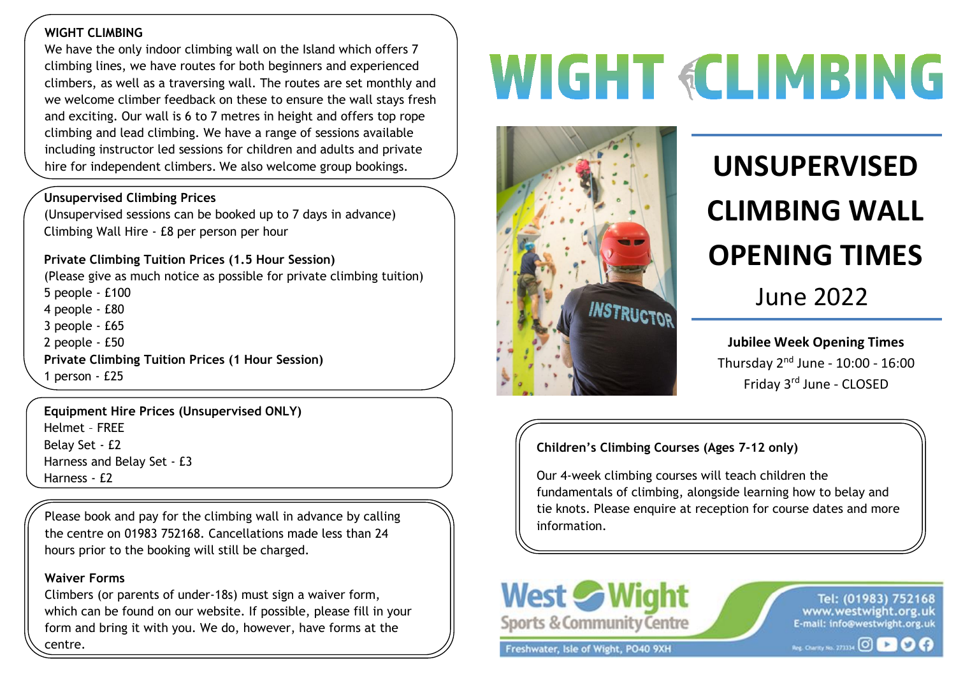### **WIGHT CLIMBING**

 climbers, as well as a traversing wall. The routes are set monthly and Inc we define difficult redefined in these to ensure the wall stays incl<br>and exciting. Our wall is 6 to 7 metres in height and offers top rope We have the only indoor climbing wall on the Island which offers 7 climbing lines, we have routes for both beginners and experienced we welcome climber feedback on these to ensure the wall stays fresh climbing and lead climbing. We have a range of sessions available including instructor led sessions for children and adults and private hire for independent climbers. We also welcome group bookings. **WE ALL CONSUPERVISED** 

#### **Unsupervised Climbing Prices**

(Unsupervised sessions can be booked up to 7 days in advance) Climbing Wall Hire - £8 per person per hour

### **Private Climbing Tuition Prices (1.5 Hour Session)**

(Please give as much notice as possible for private climbing tuition) 5 people - £100 4 people - £80 3 people - £65 2 people - £50 **Private Climbing Tuition Prices (1 Hour Session)**  1 person - £25

**Equipment Hire Prices (Unsupervised ONLY)**  Helmet – FREE Belay Set - £2 Harness and Belay Set - £3 Harness - £2

Please book and pay for the climbing wall in advance by calling the centre on 01983 752168. Cancellations made less than 24 hours prior to the booking will still be charged.

### **Waiver Forms**

Climbers (or parents of under-18s) must sign a waiver form, which can be found on our website. If possible, please fill in your form and bring it with you. We do, however, have forms at the centre.

## **WIGHT «CLIMBING**



# **CLIMBING WALL OPENING TIMES**

June 2022

**Jubilee Week Opening Times** Thursday 2nd June - 10:00 - 16:00 Friday 3rd June - CLOSED

### **Children's Climbing Courses (Ages 7-12 only)**

Our 4-week climbing courses will teach children the fundamentals of climbing, alongside learning how to belay and tie knots. Please enquire at reception for course dates and more information.



Freshwater, Isle of Wight, PO40 9XH

Tel: (01983) 752168 www.westwight.org.uk E-mail: info@westwight.org.uk